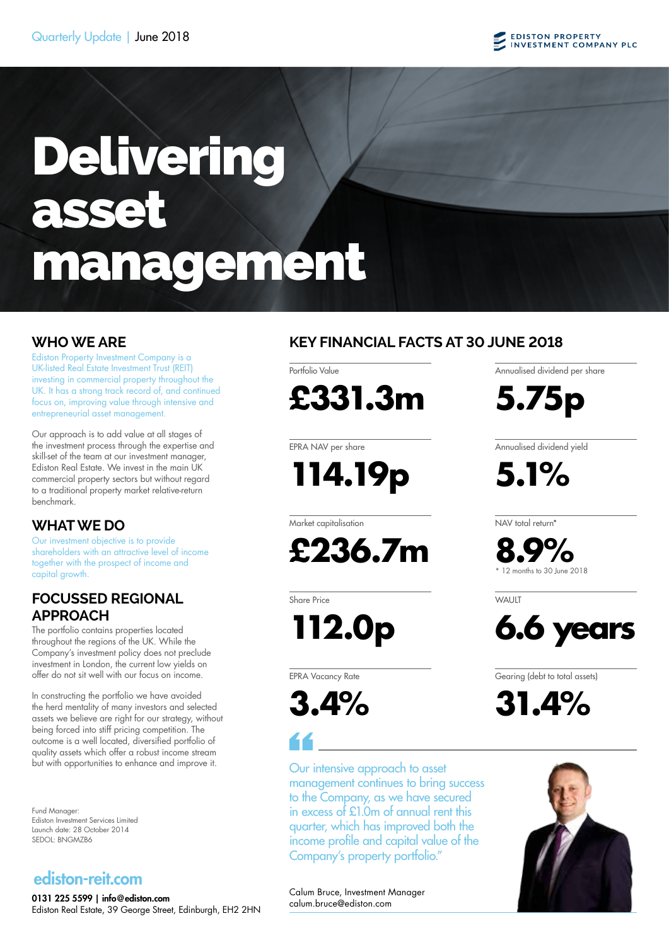# Delivering asset management

Ediston Property Investment Company is a UK-listed Real Estate Investment Trust (REIT) investing in commercial property throughout the UK. It has a strong track record of, and continued focus on, improving value through intensive and entrepreneurial asset management.

Our approach is to add value at all stages of the investment process through the expertise and skill-set of the team at our investment manager, Ediston Real Estate. We invest in the main UK commercial property sectors but without regard to a traditional property market relative-return benchmark.

# **WHAT WE DO**

Our investment objective is to provide shareholders with an attractive level of income together with the prospect of income and capital growth.

# **FOCUSSED REGIONAL APPROACH**

The portfolio contains properties located throughout the regions of the UK. While the Company's investment policy does not preclude investment in London, the current low yields on offer do not sit well with our focus on income.

In constructing the portfolio we have avoided the herd mentality of many investors and selected assets we believe are right for our strategy, without being forced into stiff pricing competition. The outcome is a well located, diversified portfolio of quality assets which offer a robust income stream but with opportunities to enhance and improve it.

Fund Manager: Ediston Investment Services Limited Launch date: 28 October 2014 SEDOL: BNGMZB6

# ediston-reit.com

0131 225 5599 | info@ediston.com Ediston Real Estate, 39 George Street, Edinburgh, EH2 2HN

# **WHO WE ARE KEY FINANCIAL FACTS AT 30 JUNE 2018**

Portfolio Value



EPRA NAV per share

**114.19p**

Market capitalisation

**£236.7m**

Share Price

**112.0p**

EPRA Vacancy Rate

**3.4%**

Our intensive approach to asset management continues to bring success to the Company, as we have secured in excess of £1.0m of annual rent this quarter, which has improved both the income profile and capital value of the Company's property portfolio."

Annualised dividend per share

**5.75p**

Annualised dividend yield

**5.1%**

NAV total return\*

**8.9%** 12 months to 30 June 2018

WAI IIT



Gearing (debt to total assets)

**31.4%**



Calum Bruce, Investment Manager calum.bruce@ediston.com